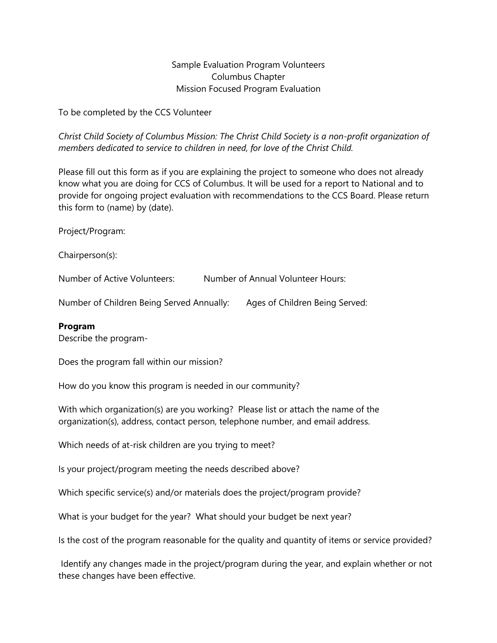Sample Evaluation Program Volunteers Columbus Chapter Mission Focused Program Evaluation

To be completed by the CCS Volunteer

*Christ Child Society of Columbus Mission: The Christ Child Society is a non-profit organization of members dedicated to service to children in need, for love of the Christ Child.*

Please fill out this form as if you are explaining the project to someone who does not already know what you are doing for CCS of Columbus. It will be used for a report to National and to provide for ongoing project evaluation with recommendations to the CCS Board. Please return this form to (name) by (date).

Project/Program:

Chairperson(s):

Number of Active Volunteers: Number of Annual Volunteer Hours:

Number of Children Being Served Annually: Ages of Children Being Served:

## **Program**

Describe the program-

Does the program fall within our mission?

How do you know this program is needed in our community?

With which organization(s) are you working? Please list or attach the name of the organization(s), address, contact person, telephone number, and email address.

Which needs of at-risk children are you trying to meet?

Is your project/program meeting the needs described above?

Which specific service(s) and/or materials does the project/program provide?

What is your budget for the year? What should your budget be next year?

Is the cost of the program reasonable for the quality and quantity of items or service provided?

Identify any changes made in the project/program during the year, and explain whether or not these changes have been effective.